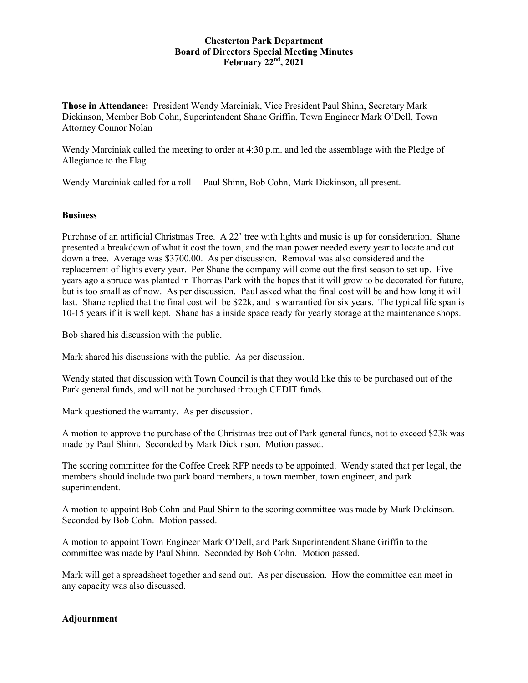## **Chesterton Park Department Board of Directors Special Meeting Minutes February 22nd, 2021**

**Those in Attendance:** President Wendy Marciniak, Vice President Paul Shinn, Secretary Mark Dickinson, Member Bob Cohn, Superintendent Shane Griffin, Town Engineer Mark O'Dell, Town Attorney Connor Nolan

Wendy Marciniak called the meeting to order at 4:30 p.m. and led the assemblage with the Pledge of Allegiance to the Flag.

Wendy Marciniak called for a roll – Paul Shinn, Bob Cohn, Mark Dickinson, all present.

## **Business**

Purchase of an artificial Christmas Tree. A 22' tree with lights and music is up for consideration. Shane presented a breakdown of what it cost the town, and the man power needed every year to locate and cut down a tree. Average was \$3700.00. As per discussion. Removal was also considered and the replacement of lights every year. Per Shane the company will come out the first season to set up. Five years ago a spruce was planted in Thomas Park with the hopes that it will grow to be decorated for future, but is too small as of now. As per discussion. Paul asked what the final cost will be and how long it will last. Shane replied that the final cost will be \$22k, and is warrantied for six years. The typical life span is 10-15 years if it is well kept. Shane has a inside space ready for yearly storage at the maintenance shops.

Bob shared his discussion with the public.

Mark shared his discussions with the public. As per discussion.

Wendy stated that discussion with Town Council is that they would like this to be purchased out of the Park general funds, and will not be purchased through CEDIT funds.

Mark questioned the warranty. As per discussion.

A motion to approve the purchase of the Christmas tree out of Park general funds, not to exceed \$23k was made by Paul Shinn. Seconded by Mark Dickinson. Motion passed.

The scoring committee for the Coffee Creek RFP needs to be appointed. Wendy stated that per legal, the members should include two park board members, a town member, town engineer, and park superintendent.

A motion to appoint Bob Cohn and Paul Shinn to the scoring committee was made by Mark Dickinson. Seconded by Bob Cohn. Motion passed.

A motion to appoint Town Engineer Mark O'Dell, and Park Superintendent Shane Griffin to the committee was made by Paul Shinn. Seconded by Bob Cohn. Motion passed.

Mark will get a spreadsheet together and send out. As per discussion. How the committee can meet in any capacity was also discussed.

## **Adjournment**